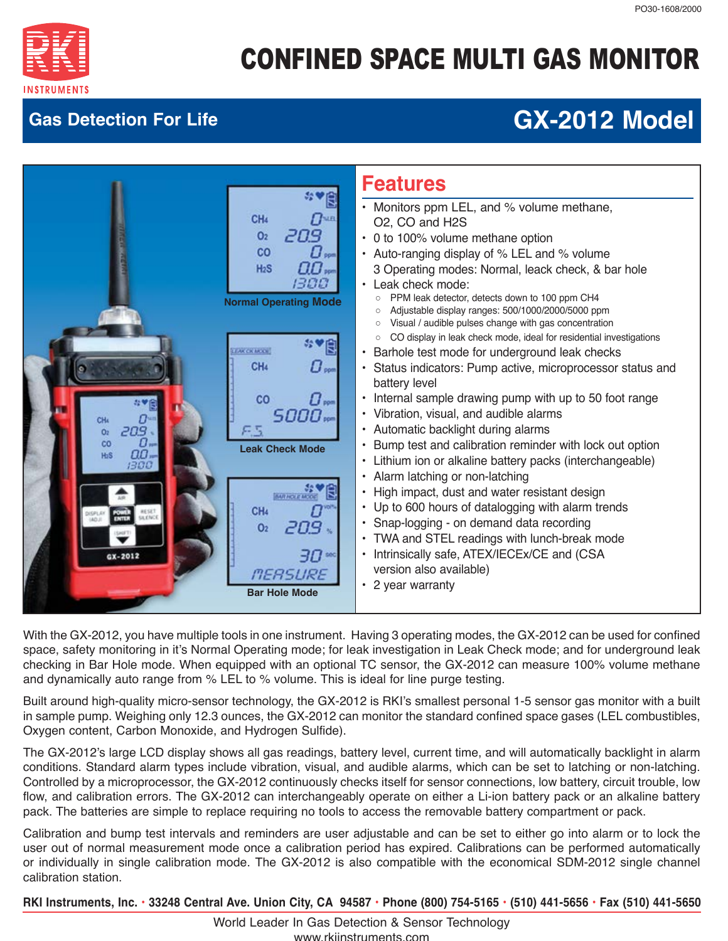

## **Gas Detection For Life GX-2012 Model**



With the GX-2012, you have multiple tools in one instrument. Having 3 operating modes, the GX-2012 can be used for confined space, safety monitoring in it's Normal Operating mode; for leak investigation in Leak Check mode; and for underground leak checking in Bar Hole mode. When equipped with an optional TC sensor, the GX-2012 can measure 100% volume methane and dynamically auto range from % LEL to % volume. This is ideal for line purge testing.

Built around high-quality micro-sensor technology, the GX-2012 is RKI's smallest personal 1-5 sensor gas monitor with a built in sample pump. Weighing only 12.3 ounces, the GX-2012 can monitor the standard confined space gases (LEL combustibles, Oxygen content, Carbon Monoxide, and Hydrogen Sulfide).

The GX-2012's large LCD display shows all gas readings, battery level, current time, and will automatically backlight in alarm conditions. Standard alarm types include vibration, visual, and audible alarms, which can be set to latching or non-latching. Controlled by a microprocessor, the GX-2012 continuously checks itself for sensor connections, low battery, circuit trouble, low flow, and calibration errors. The GX-2012 can interchangeably operate on either a Li-ion battery pack or an alkaline battery pack. The batteries are simple to replace requiring no tools to access the removable battery compartment or pack.

Calibration and bump test intervals and reminders are user adjustable and can be set to either go into alarm or to lock the user out of normal measurement mode once a calibration period has expired. Calibrations can be performed automatically or individually in single calibration mode. The GX-2012 is also compatible with the economical SDM-2012 single channel calibration station.

 **RKI Instruments, Inc. • 33248 Central Ave. Union City, CA 94587 • Phone (800) 754-5165 • (510) 441-5656 • Fax (510) 441-5650**